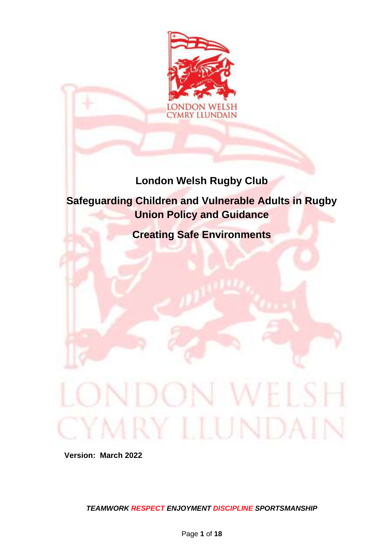

# **London Welsh Rugby Club**

# **Safeguarding Children and Vulnerable Adults in Rugby Union Policy and Guidance**

**Creating Safe Environments**

**Version: March 2022**

*TEAMWORK RESPECT ENJOYMENT DISCIPLINE SPORTSMANSHIP* 

MRY LLUNDAI

**W** 

 $\mathcal{L}$ 

EL SE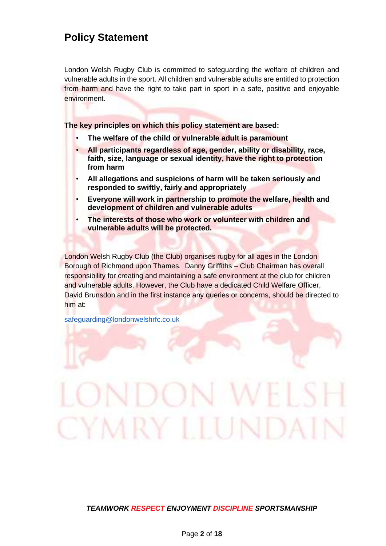# **Policy Statement**

London Welsh Rugby Club is committed to safeguarding the welfare of children and vulnerable adults in the sport. All children and vulnerable adults are entitled to protection from harm and have the right to take part in sport in a safe, positive and enjoyable environment.

**The key principles on which this policy statement are based:** 

- **The welfare of the child or vulnerable adult is paramount**
- **All participants regardless of age, gender, ability or disability, race, faith, size, language or sexual identity, have the right to protection from harm**
- **All allegations and suspicions of harm will be taken seriously and responded to swiftly, fairly and appropriately**
- **Everyone will work in partnership to promote the welfare, health and development of children and vulnerable adults**
- **The interests of those who work or volunteer with children and vulnerable adults will be protected.**

London Welsh Rugby Club (the Club) organises rugby for all ages in the London Borough of Richmond upon Thames. Danny Griffiths – Club Chairman has overall responsibility for creating and maintaining a safe environment at the club for children and vulnerable adults. However, the Club have a dedicated Child Welfare Officer, David Brunsdon and in the first instance any queries or concerns, should be directed to him at:

[safeguarding@londonwelshrfc.co.uk](mailto:safeguarding@londonwelshrfc.co.uk)

# *TEAMWORK RESPECT ENJOYMENT DISCIPLINE SPORTSMANSHIP*

CYMRY LLUNI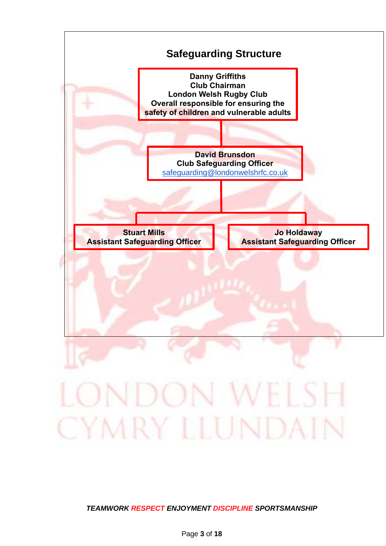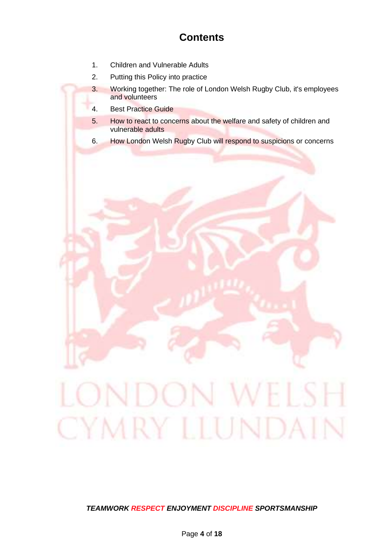# **Contents**

- 1. Children and Vulnerable Adults
- 2. Putting this Policy into practice
- 3. Working together: The role of London Welsh Rugby Club, it's employees and volunteers
- 4. Best Practice Guide
- 5. How to react to concerns about the welfare and safety of children and vulnerable adults
- 6. How London Welsh Rugby Club will respond to suspicions or concerns

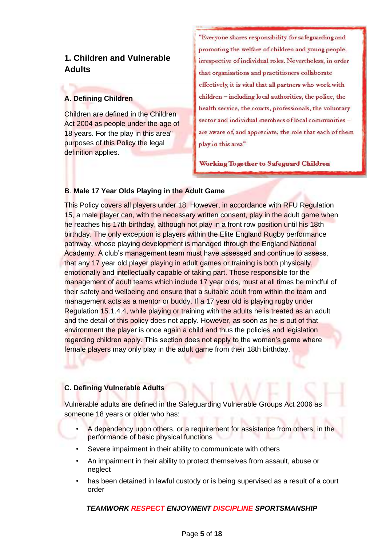# **1. Children and Vulnerable Adults**

# **A. Defining Children**

Children are defined in the Children Act 2004 as people under the age of 18 years. For the play in this area" purposes of this Policy the legal definition applies.

"Everyone shares responsibility for safeguarding and promoting the welfare of children and young people, irrespective of individual roles. Nevertheless, in order that organisations and practitioners collaborate effectively, it is vital that all partners who work with children - including local authorities, the police, the health service, the courts, professionals, the voluntary sector and individual members of local communities are aware of, and appreciate, the role that each of them play in this area"

Working Together to Safeguard Children

# **B**. **Male 17 Year Olds Playing in the Adult Game**

This Policy covers all players under 18. However, in accordance with RFU Regulation 15, a male player can, with the necessary written consent, play in the adult game when he reaches his 17th birthday, although not play in a front row position until his 18th birthday. The only exception is players within the Elite England Rugby performance pathway, whose playing development is managed through the England National Academy. A club's management team must have assessed and continue to assess, that any 17 year old player playing in adult games or training is both physically, emotionally and intellectually capable of taking part. Those responsible for the management of adult teams which include 17 year olds, must at all times be mindful of their safety and wellbeing and ensure that a suitable adult from within the team and management acts as a mentor or buddy. If a 17 year old is playing rugby under Regulation 15.1.4.4, while playing or training with the adults he is treated as an adult and the detail of this policy does not apply. However, as soon as he is out of that environment the player is once again a child and thus the policies and legislation regarding children apply. This section does not apply to the women's game where female players may only play in the adult game from their 18th birthday.

# **C. Defining Vulnerable Adults**

Vulnerable adults are defined in the Safeguarding Vulnerable Groups Act 2006 as someone 18 years or older who has:

- A dependency upon others, or a requirement for assistance from others, in the performance of basic physical functions
- Severe impairment in their ability to communicate with others
- An impairment in their ability to protect themselves from assault, abuse or neglect
- has been detained in lawful custody or is being supervised as a result of a court order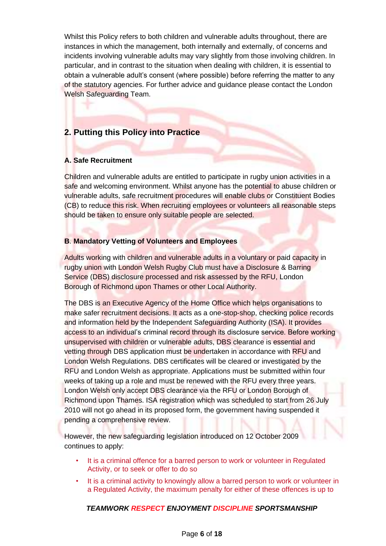Whilst this Policy refers to both children and vulnerable adults throughout, there are instances in which the management, both internally and externally, of concerns and incidents involving vulnerable adults may vary slightly from those involving children. In particular, and in contrast to the situation when dealing with children, it is essential to obtain a vulnerable adult's consent (where possible) before referring the matter to any of the statutory agencies. For further advice and guidance please contact the London Welsh Safeguarding Team.

# **2. Putting this Policy into Practice**

#### **A. Safe Recruitment**

Children and vulnerable adults are entitled to participate in rugby union activities in a safe and welcoming environment. Whilst anyone has the potential to abuse children or vulnerable adults, safe recruitment procedures will enable clubs or Constituent Bodies (CB) to reduce this risk. When recruiting employees or volunteers all reasonable steps should be taken to ensure only suitable people are selected.

# **B**. **Mandatory Vetting of Volunteers and Employees**

Adults working with children and vulnerable adults in a voluntary or paid capacity in rugby union with London Welsh Rugby Club must have a Disclosure & Barring Service (DBS) disclosure processed and risk assessed by the RFU, London Borough of Richmond upon Thames or other Local Authority.

The DBS is an Executive Agency of the Home Office which helps organisations to make safer recruitment decisions. It acts as a one-stop-shop, checking police records and information held by the Independent Safeguarding Authority (ISA). It provides access to an individual's criminal record through its disclosure service. Before working unsupervised with children or vulnerable adults, DBS clearance is essential and vetting through DBS application must be undertaken in accordance with RFU and London Welsh Regulations. DBS certificates will be cleared or investigated by the RFU and London Welsh as appropriate. Applications must be submitted within four weeks of taking up a role and must be renewed with the RFU every three years. London Welsh only accept DBS clearance via the RFU or London Borough of Richmond upon Thames. ISA registration which was scheduled to start from 26 July 2010 will not go ahead in its proposed form, the government having suspended it pending a comprehensive review.

However, the new safeguarding legislation introduced on 12 October 2009 continues to apply:

- It is a criminal offence for a barred person to work or volunteer in Regulated Activity, or to seek or offer to do so
- It is a criminal activity to knowingly allow a barred person to work or volunteer in a Regulated Activity, the maximum penalty for either of these offences is up to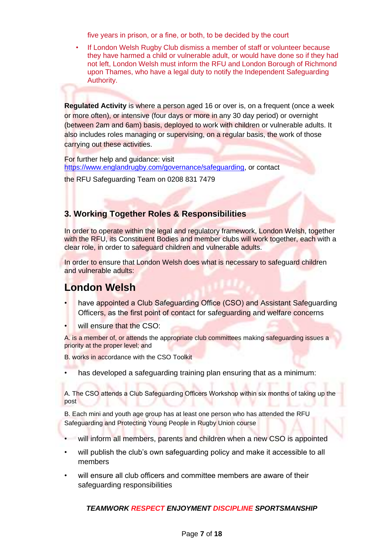five years in prison, or a fine, or both, to be decided by the court

• If London Welsh Rugby Club dismiss a member of staff or volunteer because they have harmed a child or vulnerable adult, or would have done so if they had not left, London Welsh must inform the RFU and London Borough of Richmond upon Thames, who have a legal duty to notify the Independent Safeguarding Authority.

**Regulated Activity** is where a person aged 16 or over is, on a frequent (once a week or more often), or intensive (four days or more in any 30 day period) or overnight (between 2am and 6am) basis, deployed to work with children or vulnerable adults. It also includes roles managing or supervising, on a regular basis, the work of those carrying out these activities.

For further help and guidance: visit [https://www.englandrugby.com/governance/safeguarding,](https://www.englandrugby.com/governance/safeguarding) or contact

the RFU Safeguarding Team on 0208 831 7479

# **3. Working Together Roles & Responsibilities**

In order to operate within the legal and regulatory framework, London Welsh, together with the RFU, its Constituent Bodies and member clubs will work together, each with a clear role, in order to safeguard children and vulnerable adults.

In order to ensure that London Welsh does what is necessary to safeguard children and vulnerable adults:

# **London Welsh**

- have appointed a Club Safeguarding Office (CSO) and Assistant Safeguarding Officers, as the first point of contact for safeguarding and welfare concerns
- will ensure that the CSO:

A. is a member of, or attends the appropriate club committees making safeguarding issues a priority at the proper level; and

B. works in accordance with the CSO Toolkit

has developed a safeguarding training plan ensuring that as a minimum:

A. The CSO attends a Club Safeguarding Officers Workshop within six months of taking up the post

B. Each mini and youth age group has at least one person who has attended the RFU Safeguarding and Protecting Young People in Rugby Union course

- will inform all members, parents and children when a new CSO is appointed
- will publish the club's own safeguarding policy and make it accessible to all members
- will ensure all club officers and committee members are aware of their safeguarding responsibilities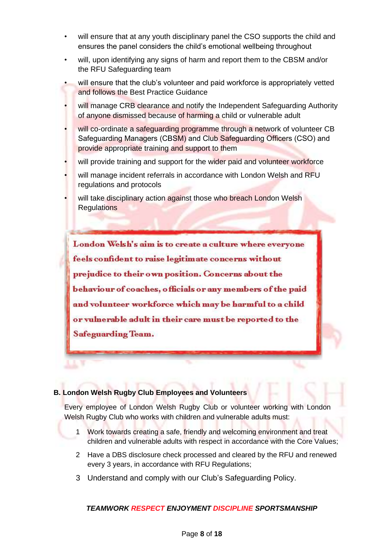- will ensure that at any youth disciplinary panel the CSO supports the child and ensures the panel considers the child's emotional wellbeing throughout
- will, upon identifying any signs of harm and report them to the CBSM and/or the RFU Safeguarding team
- will ensure that the club's volunteer and paid workforce is appropriately vetted and follows the Best Practice Guidance
- will manage CRB clearance and notify the Independent Safeguarding Authority of anyone dismissed because of harming a child or vulnerable adult
- will co-ordinate a safeguarding programme through a network of volunteer CB Safeguarding Managers (CBSM) and Club Safeguarding Officers (CSO) and provide appropriate training and support to them
- will provide training and support for the wider paid and volunteer workforce
- will manage incident referrals in accordance with London Welsh and RFU regulations and protocols
- will take disciplinary action against those who breach London Welsh **Regulations**

London Welsh's aim is to create a culture where everyone feels confident to raise legitimate concerns without prejudice to their own position. Concerns about the behaviour of coaches, officials or any members of the paid and volunteer workforce which may be harmful to a child or vulnerable adult in their care must be reported to the **Safeguarding Team.** 

#### **B. London Welsh Rugby Club Employees and Volunteers**

Every employee of London Welsh Rugby Club or volunteer working with London Welsh Rugby Club who works with children and vulnerable adults must:

- 1 Work towards creating a safe, friendly and welcoming environment and treat children and vulnerable adults with respect in accordance with the Core Values;
- 2 Have a DBS disclosure check processed and cleared by the RFU and renewed every 3 years, in accordance with RFU Regulations;
- 3 Understand and comply with our Club's Safeguarding Policy.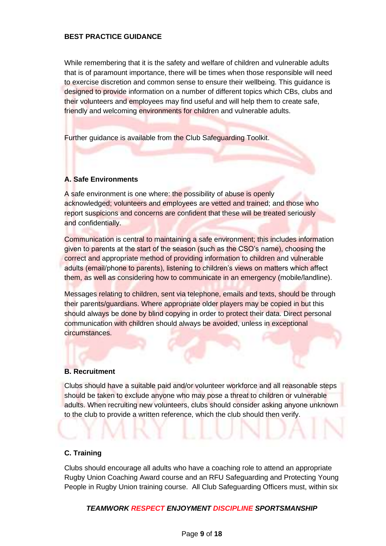#### **BEST PRACTICE GUIDANCE**

While remembering that it is the safety and welfare of children and vulnerable adults that is of paramount importance, there will be times when those responsible will need to exercise discretion and common sense to ensure their wellbeing. This guidance is designed to provide information on a number of different topics which CBs, clubs and their volunteers and employees may find useful and will help them to create safe, friendly and welcoming environments for children and vulnerable adults.

Further guidance is available from the Club Safeguarding Toolkit.

# **A. Safe Environments**

A safe environment is one where: the possibility of abuse is openly acknowledged; volunteers and employees are vetted and trained; and those who report suspicions and concerns are confident that these will be treated seriously and confidentially.

Communication is central to maintaining a safe environment; this includes information given to parents at the start of the season (such as the CSO's name), choosing the correct and appropriate method of providing information to children and vulnerable adults (email/phone to parents), listening to children's views on matters which affect them, as well as considering how to communicate in an emergency (mobile/landline).

Messages relating to children, sent via telephone, emails and texts, should be through their parents/guardians. Where appropriate older players may be copied in but this should always be done by blind copying in order to protect their data. Direct personal communication with children should always be avoided, unless in exceptional circumstances.

#### **B. Recruitment**

Clubs should have a suitable paid and/or volunteer workforce and all reasonable steps should be taken to exclude anyone who may pose a threat to children or vulnerable adults. When recruiting new volunteers, clubs should consider asking anyone unknown to the club to provide a written reference, which the club should then verify.

#### **C. Training**

Clubs should encourage all adults who have a coaching role to attend an appropriate Rugby Union Coaching Award course and an RFU Safeguarding and Protecting Young People in Rugby Union training course. All Club Safeguarding Officers must, within six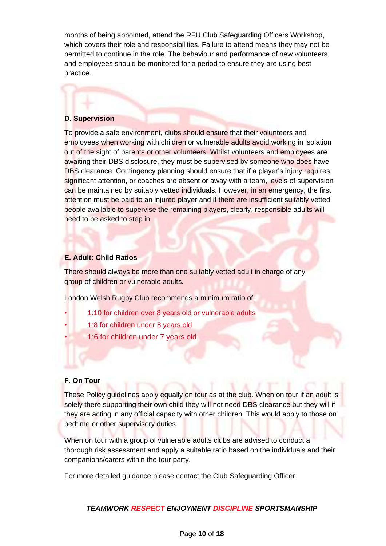months of being appointed, attend the RFU Club Safeguarding Officers Workshop, which covers their role and responsibilities. Failure to attend means they may not be permitted to continue in the role. The behaviour and performance of new volunteers and employees should be monitored for a period to ensure they are using best practice.

#### **D. Supervision**

To provide a safe environment, clubs should ensure that their volunteers and employees when working with children or vulnerable adults avoid working in isolation out of the sight of parents or other volunteers. Whilst volunteers and employees are awaiting their DBS disclosure, they must be supervised by someone who does have DBS clearance. Contingency planning should ensure that if a player's injury requires significant attention, or coaches are absent or away with a team, levels of supervision can be maintained by suitably vetted individuals. However, in an emergency, the first attention must be paid to an injured player and if there are insufficient suitably vetted people available to supervise the remaining players, clearly, responsible adults will need to be asked to step in.

#### **E. Adult: Child Ratios**

There should always be more than one suitably vetted adult in charge of any group of children or vulnerable adults.

London Welsh Rugby Club recommends a minimum ratio of:

- 1:10 for children over 8 years old or vulnerable adults
- 1:8 for children under 8 years old
- 1:6 for children under 7 years old

#### **F. On Tour**

These Policy guidelines apply equally on tour as at the club. When on tour if an adult is solely there supporting their own child they will not need DBS clearance but they will if they are acting in any official capacity with other children. This would apply to those on bedtime or other supervisory duties.

When on tour with a group of vulnerable adults clubs are advised to conduct a thorough risk assessment and apply a suitable ratio based on the individuals and their companions/carers within the tour party.

For more detailed guidance please contact the Club Safeguarding Officer.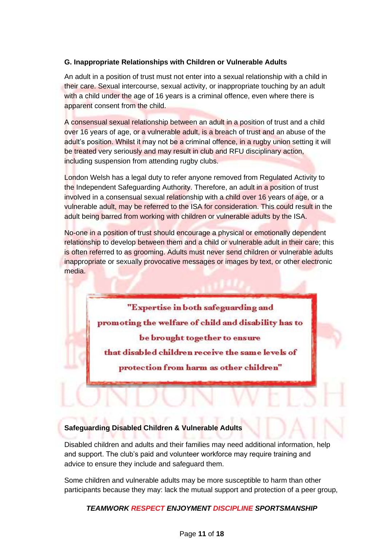# **G. Inappropriate Relationships with Children or Vulnerable Adults**

An adult in a position of trust must not enter into a sexual relationship with a child in their care. Sexual intercourse, sexual activity, or inappropriate touching by an adult with a child under the age of 16 years is a criminal offence, even where there is apparent consent from the child.

A consensual sexual relationship between an adult in a position of trust and a child over 16 years of age, or a vulnerable adult, is a breach of trust and an abuse of the adult's position. Whilst it may not be a criminal offence, in a rugby union setting it will be treated very seriously and may result in club and RFU disciplinary action, including suspension from attending rugby clubs.

London Welsh has a legal duty to refer anyone removed from Regulated Activity to the Independent Safeguarding Authority. Therefore, an adult in a position of trust involved in a consensual sexual relationship with a child over 16 years of age, or a vulnerable adult, may be referred to the ISA for consideration. This could result in the adult being barred from working with children or vulnerable adults by the ISA.

No-one in a position of trust should encourage a physical or emotionally dependent relationship to develop between them and a child or vulnerable adult in their care; this is often referred to as grooming. Adults must never send children or vulnerable adults inappropriate or sexually provocative messages or images by text, or other electronic media.

> "Expertise in both safeguarding and promoting the welfare of child and disability has to be brought together to ensure

that disabled children receive the same levels of

protection from harm as other children"

# **Safeguarding Disabled Children & Vulnerable Adults**

Disabled children and adults and their families may need additional information, help and support. The club's paid and volunteer workforce may require training and advice to ensure they include and safeguard them.

Some children and vulnerable adults may be more susceptible to harm than other participants because they may: lack the mutual support and protection of a peer group,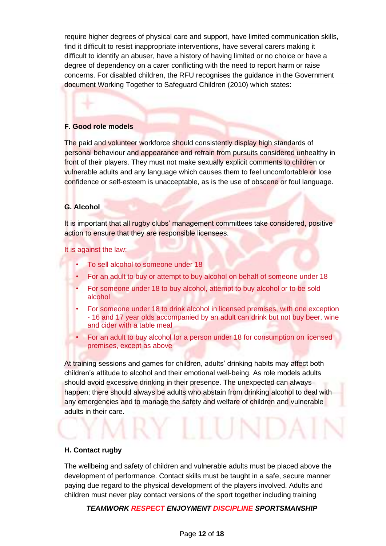require higher degrees of physical care and support, have limited communication skills, find it difficult to resist inappropriate interventions, have several carers making it difficult to identify an abuser, have a history of having limited or no choice or have a degree of dependency on a carer conflicting with the need to report harm or raise concerns. For disabled children, the RFU recognises the guidance in the Government document Working Together to Safeguard Children (2010) which states:

#### **F. Good role models**

The paid and volunteer workforce should consistently display high standards of personal behaviour and appearance and refrain from pursuits considered unhealthy in front of their players. They must not make sexually explicit comments to children or vulnerable adults and any language which causes them to feel uncomfortable or lose confidence or self-esteem is unacceptable, as is the use of obscene or foul language.

#### **G. Alcohol**

It is important that all rugby clubs' management committees take considered, positive action to ensure that they are responsible licensees.

It is against the law:

- To sell alcohol to someone under 18
- For an adult to buy or attempt to buy alcohol on behalf of someone under 18
- For someone under 18 to buy alcohol, attempt to buy alcohol or to be sold alcohol
- For someone under 18 to drink alcohol in licensed premises, with one exception - 16 and 17 year olds accompanied by an adult can drink but not buy beer, wine and cider with a table meal
- For an adult to buy alcohol for a person under 18 for consumption on licensed premises, except as above

At training sessions and games for children, adults' drinking habits may affect both children's attitude to alcohol and their emotional well-being. As role models adults should avoid excessive drinking in their presence. The unexpected can always happen; there should always be adults who abstain from drinking alcohol to deal with any emergencies and to manage the safety and welfare of children and vulnerable adults in their care.

EY LLUNL

#### **H. Contact rugby**

The wellbeing and safety of children and vulnerable adults must be placed above the development of performance. Contact skills must be taught in a safe, secure manner paying due regard to the physical development of the players involved. Adults and children must never play contact versions of the sport together including training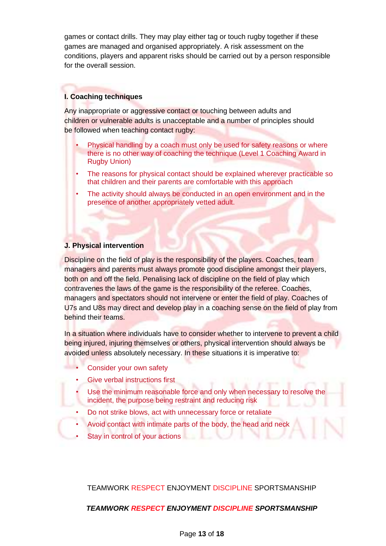games or contact drills. They may play either tag or touch rugby together if these games are managed and organised appropriately. A risk assessment on the conditions, players and apparent risks should be carried out by a person responsible for the overall session.

# **I. Coaching techniques**

Any inappropriate or aggressive contact or touching between adults and children or vulnerable adults is unacceptable and a number of principles should be followed when teaching contact rugby:

- Physical handling by a coach must only be used for safety reasons or where there is no other way of coaching the technique (Level 1 Coaching Award in Rugby Union)
- The reasons for physical contact should be explained wherever practicable so that children and their parents are comfortable with this approach
- The activity should always be conducted in an open environment and in the presence of another appropriately vetted adult.

#### **J. Physical intervention**

Discipline on the field of play is the responsibility of the players. Coaches, team managers and parents must always promote good discipline amongst their players, both on and off the field. Penalising lack of discipline on the field of play which contravenes the laws of the game is the responsibility of the referee. Coaches, managers and spectators should not intervene or enter the field of play. Coaches of U7s and U8s may direct and develop play in a coaching sense on the field of play from behind their teams.

In a situation where individuals have to consider whether to intervene to prevent a child being injured, injuring themselves or others, physical intervention should always be avoided unless absolutely necessary. In these situations it is imperative to:

- Consider your own safety
- Give verbal instructions first
- Use the minimum reasonable force and only when necessary to resolve the incident, the purpose being restraint and reducing risk
- Do not strike blows, act with unnecessary force or retaliate
- Avoid contact with intimate parts of the body, the head and neck
- Stay in control of your actions

TEAMWORK RESPECT ENJOYMENT DISCIPLINE SPORTSMANSHIP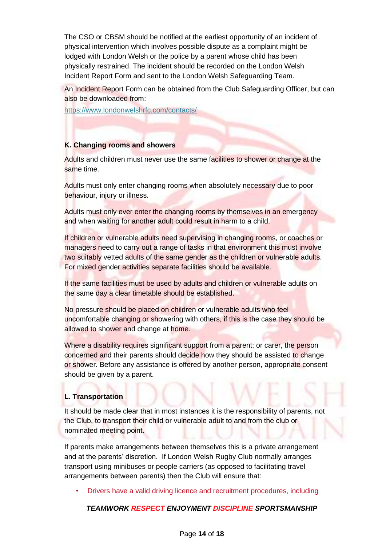The CSO or CBSM should be notified at the earliest opportunity of an incident of physical intervention which involves possible dispute as a complaint might be lodged with London Welsh or the police by a parent whose child has been physically restrained. The incident should be recorded on the London Welsh Incident Report Form and sent to the London Welsh Safeguarding Team.

An Incident Report Form can be obtained from the Club Safeguarding Officer, but can also be downloaded from:

https://www.londonwelshrfc.com/contacts/

# **K. Changing rooms and showers**

Adults and children must never use the same facilities to shower or change at the same time.

Adults must only enter changing rooms when absolutely necessary due to poor behaviour, injury or illness.

Adults must only ever enter the changing rooms by themselves in an emergency and when waiting for another adult could result in harm to a child.

If children or vulnerable adults need supervising in changing rooms, or coaches or managers need to carry out a range of tasks in that environment this must involve two suitably vetted adults of the same gender as the children or vulnerable adults. For mixed gender activities separate facilities should be available.

If the same facilities must be used by adults and children or vulnerable adults on the same day a clear timetable should be established.

No pressure should be placed on children or vulnerable adults who feel uncomfortable changing or showering with others, if this is the case they should be allowed to shower and change at home.

Where a disability requires significant support from a parent; or carer, the person concerned and their parents should decide how they should be assisted to change or shower. Before any assistance is offered by another person, appropriate consent should be given by a parent.

#### **L. Transportation**

It should be made clear that in most instances it is the responsibility of parents, not the Club, to transport their child or vulnerable adult to and from the club or nominated meeting point.

If parents make arrangements between themselves this is a private arrangement and at the parents' discretion. If London Welsh Rugby Club normally arranges transport using minibuses or people carriers (as opposed to facilitating travel arrangements between parents) then the Club will ensure that:

• Drivers have a valid driving licence and recruitment procedures, including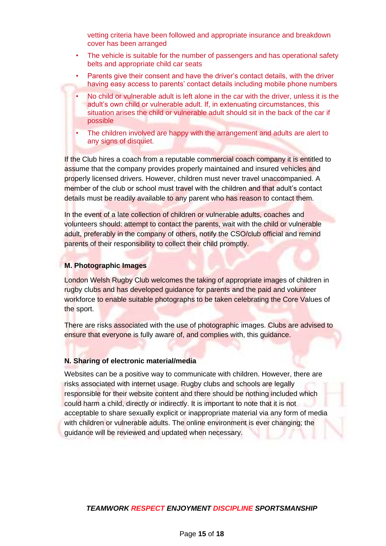vetting criteria have been followed and appropriate insurance and breakdown cover has been arranged

- The vehicle is suitable for the number of passengers and has operational safety belts and appropriate child car seats
- Parents give their consent and have the driver's contact details, with the driver having easy access to parents' contact details including mobile phone numbers
- No child or vulnerable adult is left alone in the car with the driver, unless it is the adult's own child or vulnerable adult. If, in extenuating circumstances, this situation arises the child or vulnerable adult should sit in the back of the car if possible
- The children involved are happy with the arrangement and adults are alert to any signs of disquiet.

If the Club hires a coach from a reputable commercial coach company it is entitled to assume that the company provides properly maintained and insured vehicles and properly licensed drivers. However, children must never travel unaccompanied. A member of the club or school must travel with the children and that adult's contact details must be readily available to any parent who has reason to contact them.

In the event of a late collection of children or vulnerable adults, coaches and volunteers should: attempt to contact the parents, wait with the child or vulnerable adult, preferably in the company of others, notify the CSO/club official and remind parents of their responsibility to collect their child promptly.

#### **M. Photographic Images**

London Welsh Rugby Club welcomes the taking of appropriate images of children in rugby clubs and has developed guidance for parents and the paid and volunteer workforce to enable suitable photographs to be taken celebrating the Core Values of the sport.

There are risks associated with the use of photographic images. Clubs are advised to ensure that everyone is fully aware of, and complies with, this guidance.

#### **N. Sharing of electronic material/media**

Websites can be a positive way to communicate with children. However, there are risks associated with internet usage. Rugby clubs and schools are legally responsible for their website content and there should be nothing included which could harm a child, directly or indirectly. It is important to note that it is not acceptable to share sexually explicit or inappropriate material via any form of media with children or vulnerable adults. The online environment is ever changing; the guidance will be reviewed and updated when necessary.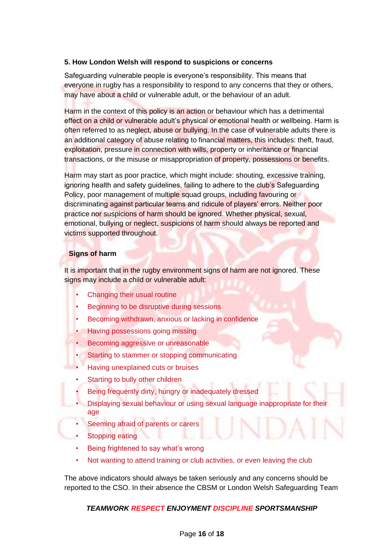#### **5. How London Welsh will respond to suspicions or concerns**

Safeguarding vulnerable people is everyone's responsibility. This means that everyone in rugby has a responsibility to respond to any concerns that they or others, may have about a child or vulnerable adult, or the behaviour of an adult.

Harm in the context of this policy is an action or behaviour which has a detrimental effect on a child or vulnerable adult's physical or emotional health or wellbeing. Harm is often referred to as neglect, abuse or bullying. In the case of vulnerable adults there is an additional category of abuse relating to financial matters, this includes: theft, fraud, exploitation, pressure in connection with wills, property or inheritance or financial transactions, or the misuse or misappropriation of property, possessions or benefits.

Harm may start as poor practice, which might include: shouting, excessive training, ignoring health and safety guidelines, failing to adhere to the club's Safeguarding Policy, poor management of multiple squad groups, including favouring or discriminating against particular teams and ridicule of players' errors. Neither poor practice nor suspicions of harm should be ignored. Whether physical, sexual, emotional, bullying or neglect, suspicions of harm should always be reported and victims supported throughout.

#### **Signs of harm**

It is important that in the rugby environment signs of harm are not ignored. These signs may include a child or vulnerable adult:

- Changing their usual routine
- Beginning to be disruptive during sessions
- Becoming withdrawn, anxious or lacking in confidence
- Having possessions going missing
- Becoming aggressive or unreasonable
- Starting to stammer or stopping communicating
- Having unexplained cuts or bruises
- Starting to bully other children
- Being frequently dirty, hungry or inadequately dressed
- Displaying sexual behaviour or using sexual language inappropriate for their age
- Seeming afraid of parents or carers
- **Stopping eating**
- Being frightened to say what's wrong
- Not wanting to attend training or club activities, or even leaving the club

The above indicators should always be taken seriously and any concerns should be reported to the CSO. In their absence the CBSM or London Welsh Safeguarding Team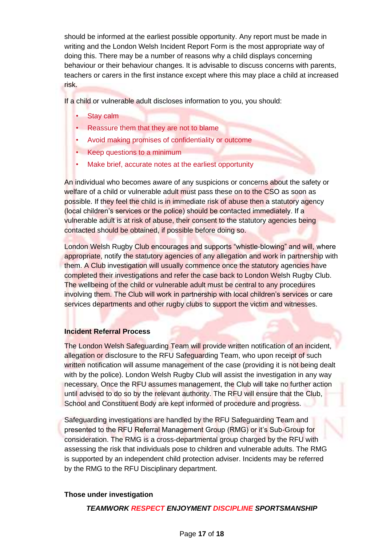should be informed at the earliest possible opportunity. Any report must be made in writing and the London Welsh Incident Report Form is the most appropriate way of doing this. There may be a number of reasons why a child displays concerning behaviour or their behaviour changes. It is advisable to discuss concerns with parents, teachers or carers in the first instance except where this may place a child at increased risk.

If a child or vulnerable adult discloses information to you, you should:

- **Stay calm**
- Reassure them that they are not to blame
- Avoid making promises of confidentiality or outcome
- Keep questions to a minimum
- Make brief, accurate notes at the earliest opportunity

An individual who becomes aware of any suspicions or concerns about the safety or welfare of a child or vulnerable adult must pass these on to the CSO as soon as possible. If they feel the child is in immediate risk of abuse then a statutory agency (local children's services or the police) should be contacted immediately. If a vulnerable adult is at risk of abuse, their consent to the statutory agencies being contacted should be obtained, if possible before doing so.

London Welsh Rugby Club encourages and supports "whistle-blowing" and will, where appropriate, notify the statutory agencies of any allegation and work in partnership with them. A Club investigation will usually commence once the statutory agencies have completed their investigations and refer the case back to London Welsh Rugby Club. The wellbeing of the child or vulnerable adult must be central to any procedures involving them. The Club will work in partnership with local children's services or care services departments and other rugby clubs to support the victim and witnesses.

#### **Incident Referral Process**

The London Welsh Safeguarding Team will provide written notification of an incident, allegation or disclosure to the RFU Safeguarding Team, who upon receipt of such written notification will assume management of the case (providing it is not being dealt with by the police). London Welsh Rugby Club will assist the investigation in any way necessary. Once the RFU assumes management, the Club will take no further action until advised to do so by the relevant authority. The RFU will ensure that the Club, School and Constituent Body are kept informed of procedure and progress.

Safeguarding investigations are handled by the RFU Safeguarding Team and presented to the RFU Referral Management Group (RMG) or it's Sub-Group for consideration. The RMG is a cross-departmental group charged by the RFU with assessing the risk that individuals pose to children and vulnerable adults. The RMG is supported by an independent child protection adviser. Incidents may be referred by the RMG to the RFU Disciplinary department.

#### **Those under investigation**